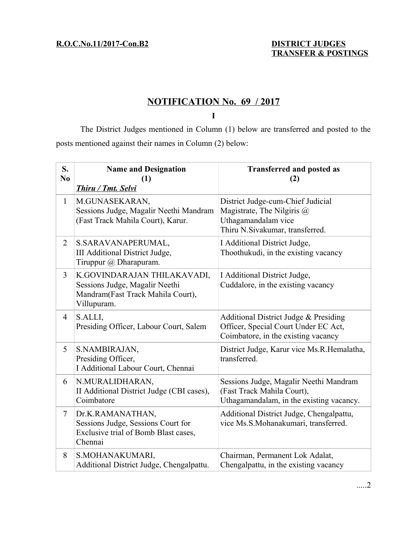# **NOTIFICATION No. 69 / 2017**

**I**

The District Judges mentioned in Column (1) below are transferred and posted to the posts mentioned against their names in Column (2) below:

| S.<br>N <sub>0</sub> | <b>Name and Designation</b><br>(1)<br>Thiru / Tmt. Selvi                                                          | <b>Transferred and posted as</b><br>(2)                                                                                   |
|----------------------|-------------------------------------------------------------------------------------------------------------------|---------------------------------------------------------------------------------------------------------------------------|
| $\mathbf{1}$         | M.GUNASEKARAN,<br>Sessions Judge, Magalir Neethi Mandram<br>(Fast Track Mahila Court), Karur.                     | District Judge-cum-Chief Judicial<br>Magistrate, The Nilgiris @<br>Uthagamandalam vice<br>Thiru N.Sivakumar, transferred. |
| 2                    | S.SARAVANAPERUMAL,<br>III Additional District Judge,<br>Tiruppur @ Dharapuram.                                    | I Additional District Judge,<br>Thoothukudi, in the existing vacancy                                                      |
| 3                    | K.GOVINDARAJAN THILAKAVADI,<br>Sessions Judge, Magalir Neethi<br>Mandram(Fast Track Mahila Court),<br>Villupuram. | I Additional District Judge,<br>Cuddalore, in the existing vacancy                                                        |
| $\overline{4}$       | S.ALLI,<br>Presiding Officer, Labour Court, Salem                                                                 | Additional District Judge & Presiding<br>Officer, Special Court Under EC Act,<br>Coimbatore, in the existing vacancy      |
| 5                    | S.NAMBIRAJAN,<br>Presiding Officer,<br>I Additional Labour Court, Chennai                                         | District Judge, Karur vice Ms.R.Hemalatha,<br>transferred.                                                                |
| 6                    | N.MURALIDHARAN,<br>II Additional District Judge (CBI cases),<br>Coimbatore                                        | Sessions Judge, Magalir Neethi Mandram<br>(Fast Track Mahila Court),<br>Uthagamandalam, in the existing vacancy.          |
| $\tau$               | Dr.K.RAMANATHAN,<br>Sessions Judge, Sessions Court for<br>Exclusive trial of Bomb Blast cases,<br>Chennai         | Additional District Judge, Chengalpattu,<br>vice Ms.S.Mohanakumari, transferred.                                          |
| 8                    | S.MOHANAKUMARI,<br>Additional District Judge, Chengalpattu.                                                       | Chairman, Permanent Lok Adalat,<br>Chengalpattu, in the existing vacancy                                                  |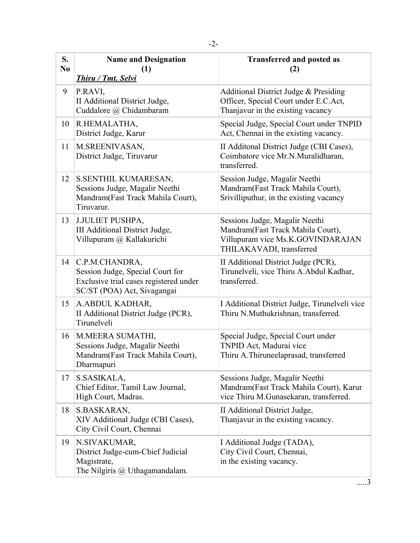| S.<br>N <sub>0</sub> | <b>Name and Designation</b><br>(1)<br>Thiru / Tmt. Selvi                                                                    | <b>Transferred and posted as</b><br>(2)                                                                                              |
|----------------------|-----------------------------------------------------------------------------------------------------------------------------|--------------------------------------------------------------------------------------------------------------------------------------|
| 9                    | P.RAVI,<br>II Additional District Judge,<br>Cuddalore @ Chidambaram                                                         | Additional District Judge & Presiding<br>Officer, Special Court under E.C.Act,<br>Thanjavur in the existing vacancy                  |
| 10                   | R.HEMALATHA,<br>District Judge, Karur                                                                                       | Special Judge, Special Court under TNPID<br>Act, Chennai in the existing vacancy.                                                    |
| 11                   | M.SREENIVASAN,<br>District Judge, Tiruvarur                                                                                 | II Additonal District Judge (CBI Cases),<br>Coimbatore vice Mr.N.Muralidharan,<br>transferred.                                       |
| 12                   | S.SENTHIL KUMARESAN,<br>Sessions Judge, Magalir Neethi<br>Mandram(Fast Track Mahila Court),<br>Tiruvarur.                   | Session Judge, Magalir Neethi<br>Mandram(Fast Track Mahila Court),<br>Srivilliputhur, in the existing vacancy                        |
| 13                   | J.JULIET PUSHPA,<br>III Additional District Judge,<br>Villupuram @ Kallakurichi                                             | Sessions Judge, Magalir Neethi<br>Mandram(Fast Track Mahila Court),<br>Villupuram vice Ms.K.GOVINDARAJAN<br>THILAKAVADI, transferred |
| 14                   | C.P.M.CHANDRA,<br>Session Judge, Special Court for<br>Exclusive trial cases registered under<br>SC/ST (POA) Act, Sivagangai | II Additional District Judge (PCR),<br>Tirunelveli, vice Thiru A.Abdul Kadhar,<br>transferred.                                       |
| 15                   | A.ABDUL KADHAR,<br>II Additional District Judge (PCR),<br>Tirunelveli                                                       | I Additional District Judge, Tirunelveli vice<br>Thiru N.Muthukrishnan, transferred.                                                 |
| 16                   | M.MEERA SUMATHI,<br>Sessions Judge, Magalir Neethi<br>Mandram(Fast Track Mahila Court),<br>Dharmapuri                       | Special Judge, Special Court under<br>TNPID Act, Madurai vice<br>Thiru A.Thiruneelaprasad, transferred                               |
| 17                   | S.SASIKALA,<br>Chief Editor, Tamil Law Journal,<br>High Court, Madras.                                                      | Sessions Judge, Magalir Neethi<br>Mandram(Fast Track Mahila Court), Karur<br>vice Thiru M.Gunasekaran, transferred.                  |
| 18                   | S.BASKARAN,<br>XIV Additional Judge (CBI Cases),<br>City Civil Court, Chennai                                               | II Additional District Judge,<br>Thanjavur in the existing vacancy.                                                                  |
| 19                   | N.SIVAKUMAR,<br>District Judge-cum-Chief Judicial<br>Magistrate,<br>The Nilgiris @ Uthagamandalam.                          | I Additional Judge (TADA),<br>City Civil Court, Chennai,<br>in the existing vacancy.                                                 |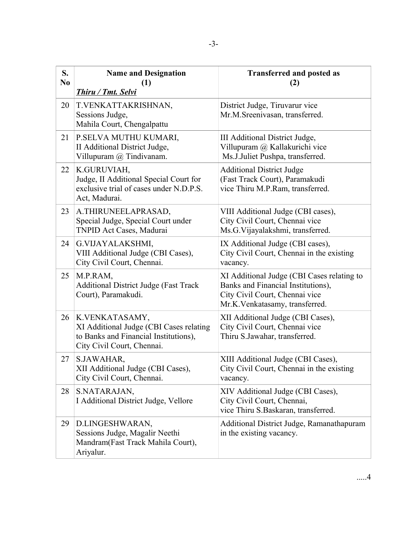| S.<br>N <sub>0</sub> | <b>Name and Designation</b><br>(1)<br>Thiru / Tmt. Selvi                                                                         | <b>Transferred and posted as</b><br>(2)                                                                                                              |
|----------------------|----------------------------------------------------------------------------------------------------------------------------------|------------------------------------------------------------------------------------------------------------------------------------------------------|
| 20                   | T.VENKATTAKRISHNAN,<br>Sessions Judge,<br>Mahila Court, Chengalpattu                                                             | District Judge, Tiruvarur vice<br>Mr.M.Sreenivasan, transferred.                                                                                     |
| 21                   | P.SELVA MUTHU KUMARI,<br>II Additional District Judge,<br>Villupuram @ Tindivanam.                                               | III Additional District Judge,<br>Villupuram @ Kallakurichi vice<br>Ms.J.Juliet Pushpa, transferred.                                                 |
| 22                   | K.GURUVIAH,<br>Judge, II Additional Special Court for<br>exclusive trial of cases under N.D.P.S.<br>Act, Madurai.                | <b>Additional District Judge</b><br>(Fast Track Court), Paramakudi<br>vice Thiru M.P.Ram, transferred.                                               |
| 23                   | A.THIRUNEELAPRASAD,<br>Special Judge, Special Court under<br>TNPID Act Cases, Madurai                                            | VIII Additional Judge (CBI cases),<br>City Civil Court, Chennai vice<br>Ms.G.Vijayalakshmi, transferred.                                             |
| 24                   | G.VIJAYALAKSHMI,<br>VIII Additional Judge (CBI Cases),<br>City Civil Court, Chennai.                                             | IX Additional Judge (CBI cases),<br>City Civil Court, Chennai in the existing<br>vacancy.                                                            |
| 25                   | M.P.RAM,<br><b>Additional District Judge (Fast Track</b><br>Court), Paramakudi.                                                  | XI Additional Judge (CBI Cases relating to<br>Banks and Financial Institutions),<br>City Civil Court, Chennai vice<br>Mr.K.Venkatasamy, transferred. |
| 26                   | K.VENKATASAMY,<br>XI Additional Judge (CBI Cases relating<br>to Banks and Financial Institutions),<br>City Civil Court, Chennai. | XII Additional Judge (CBI Cases),<br>City Civil Court, Chennai vice<br>Thiru S.Jawahar, transferred.                                                 |
| 27                   | S.JAWAHAR,<br>XII Additional Judge (CBI Cases),<br>City Civil Court, Chennai.                                                    | XIII Additional Judge (CBI Cases),<br>City Civil Court, Chennai in the existing<br>vacancy.                                                          |
| 28                   | S.NATARAJAN,<br>I Additional District Judge, Vellore                                                                             | XIV Additional Judge (CBI Cases),<br>City Civil Court, Chennai,<br>vice Thiru S.Baskaran, transferred.                                               |
| 29                   | D.LINGESHWARAN,<br>Sessions Judge, Magalir Neethi<br>Mandram(Fast Track Mahila Court),<br>Ariyalur.                              | Additional District Judge, Ramanathapuram<br>in the existing vacancy.                                                                                |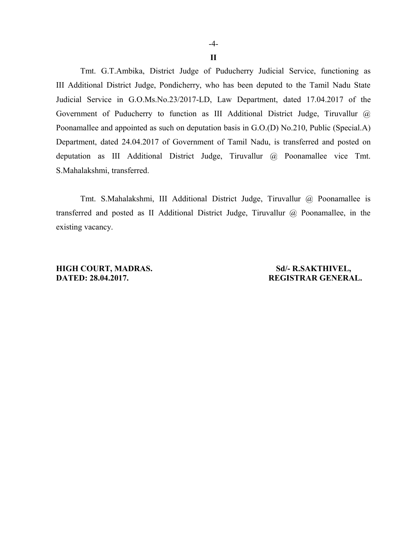**II**

Tmt. G.T.Ambika, District Judge of Puducherry Judicial Service, functioning as III Additional District Judge, Pondicherry, who has been deputed to the Tamil Nadu State Judicial Service in G.O.Ms.No.23/2017-LD, Law Department, dated 17.04.2017 of the Government of Puducherry to function as III Additional District Judge, Tiruvallur @ Poonamallee and appointed as such on deputation basis in G.O.(D) No.210, Public (Special.A) Department, dated 24.04.2017 of Government of Tamil Nadu, is transferred and posted on deputation as III Additional District Judge, Tiruvallur @ Poonamallee vice Tmt. S.Mahalakshmi, transferred.

Tmt. S.Mahalakshmi, III Additional District Judge, Tiruvallur @ Poonamallee is transferred and posted as II Additional District Judge, Tiruvallur @ Poonamallee, in the existing vacancy.

**HIGH COURT, MADRAS.** Sd/- R.SAKTHIVEL, **DATED: 28.04.2017. REGISTRAR GENERAL.**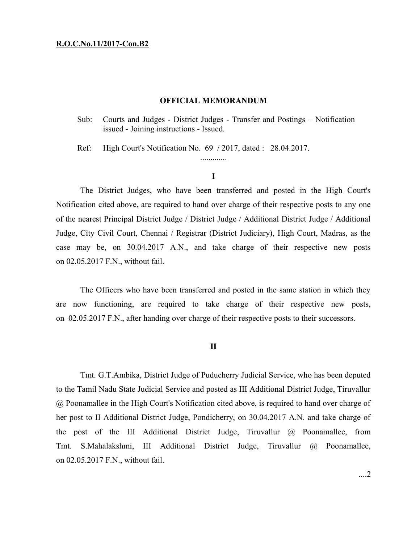## **R.O.C.No.11/2017-Con.B2**

## **OFFICIAL MEMORANDUM**

Sub: Courts and Judges - District Judges - Transfer and Postings – Notification issued - Joining instructions - Issued.

Ref: High Court's Notification No. 69 / 2017, dated : 28.04.2017.

## **I**

.............

The District Judges, who have been transferred and posted in the High Court's Notification cited above, are required to hand over charge of their respective posts to any one of the nearest Principal District Judge / District Judge / Additional District Judge / Additional Judge, City Civil Court, Chennai / Registrar (District Judiciary), High Court, Madras, as the case may be, on 30.04.2017 A.N., and take charge of their respective new posts on 02.05.2017 F.N., without fail.

The Officers who have been transferred and posted in the same station in which they are now functioning, are required to take charge of their respective new posts, on 02.05.2017 F.N., after handing over charge of their respective posts to their successors.

### **II**

Tmt. G.T.Ambika, District Judge of Puducherry Judicial Service, who has been deputed to the Tamil Nadu State Judicial Service and posted as III Additional District Judge, Tiruvallur @ Poonamallee in the High Court's Notification cited above, is required to hand over charge of her post to II Additional District Judge, Pondicherry, on 30.04.2017 A.N. and take charge of the post of the III Additional District Judge, Tiruvallur @ Poonamallee, from Tmt. S.Mahalakshmi, III Additional District Judge, Tiruvallur @ Poonamallee, on 02.05.2017 F.N., without fail.